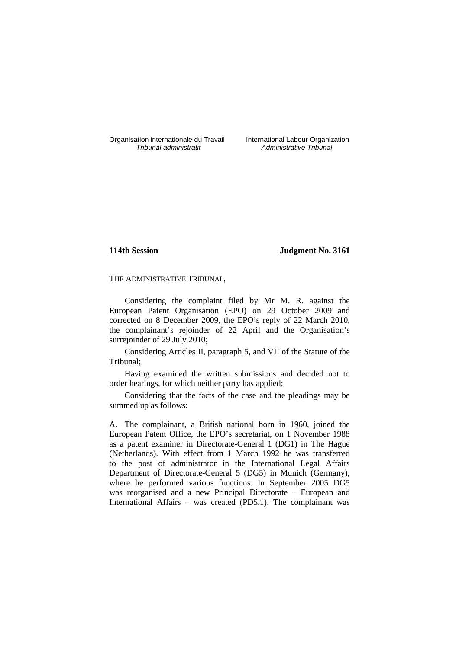Organisation internationale du Travail International Labour Organization<br>*Tribunal administratif* Administrative Tribunal

Administrative Tribunal

# **114th Session Judgment No. 3161**

THE ADMINISTRATIVE TRIBUNAL,

Considering the complaint filed by Mr M. R. against the European Patent Organisation (EPO) on 29 October 2009 and corrected on 8 December 2009, the EPO's reply of 22 March 2010, the complainant's rejoinder of 22 April and the Organisation's surrejoinder of 29 July 2010;

Considering Articles II, paragraph 5, and VII of the Statute of the Tribunal;

Having examined the written submissions and decided not to order hearings, for which neither party has applied;

Considering that the facts of the case and the pleadings may be summed up as follows:

A. The complainant, a British national born in 1960, joined the European Patent Office, the EPO's secretariat, on 1 November 1988 as a patent examiner in Directorate-General 1 (DG1) in The Hague (Netherlands). With effect from 1 March 1992 he was transferred to the post of administrator in the International Legal Affairs Department of Directorate-General 5 (DG5) in Munich (Germany), where he performed various functions. In September 2005 DG5 was reorganised and a new Principal Directorate – European and International Affairs – was created (PD5.1). The complainant was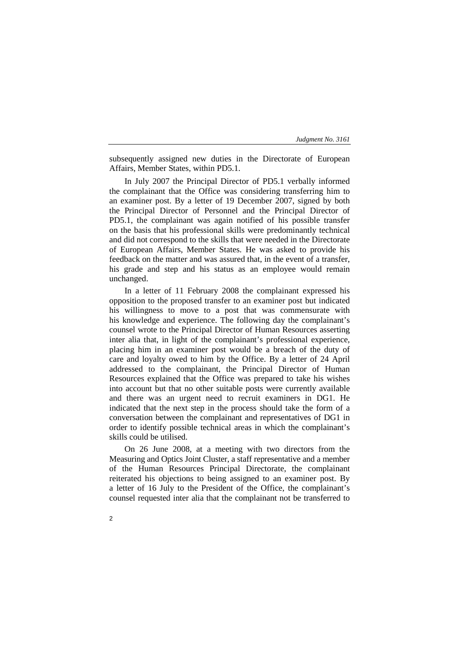subsequently assigned new duties in the Directorate of European Affairs, Member States, within PD5.1.

In July 2007 the Principal Director of PD5.1 verbally informed the complainant that the Office was considering transferring him to an examiner post. By a letter of 19 December 2007, signed by both the Principal Director of Personnel and the Principal Director of PD5.1, the complainant was again notified of his possible transfer on the basis that his professional skills were predominantly technical and did not correspond to the skills that were needed in the Directorate of European Affairs, Member States. He was asked to provide his feedback on the matter and was assured that, in the event of a transfer, his grade and step and his status as an employee would remain unchanged.

In a letter of 11 February 2008 the complainant expressed his opposition to the proposed transfer to an examiner post but indicated his willingness to move to a post that was commensurate with his knowledge and experience. The following day the complainant's counsel wrote to the Principal Director of Human Resources asserting inter alia that, in light of the complainant's professional experience, placing him in an examiner post would be a breach of the duty of care and loyalty owed to him by the Office. By a letter of 24 April addressed to the complainant, the Principal Director of Human Resources explained that the Office was prepared to take his wishes into account but that no other suitable posts were currently available and there was an urgent need to recruit examiners in DG1. He indicated that the next step in the process should take the form of a conversation between the complainant and representatives of DG1 in order to identify possible technical areas in which the complainant's skills could be utilised.

On 26 June 2008, at a meeting with two directors from the Measuring and Optics Joint Cluster, a staff representative and a member of the Human Resources Principal Directorate, the complainant reiterated his objections to being assigned to an examiner post. By a letter of 16 July to the President of the Office, the complainant's counsel requested inter alia that the complainant not be transferred to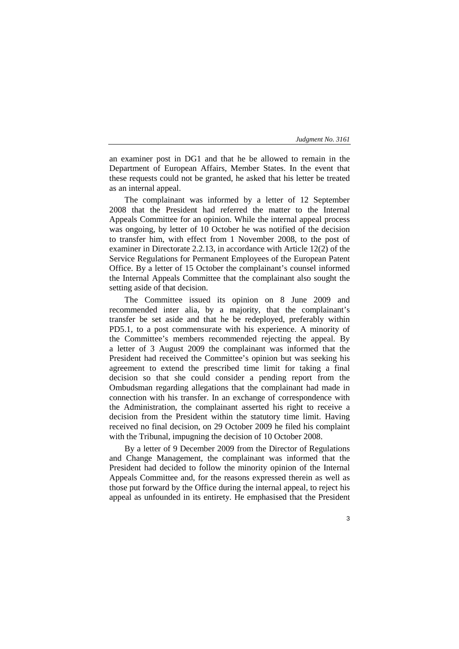an examiner post in DG1 and that he be allowed to remain in the Department of European Affairs, Member States. In the event that these requests could not be granted, he asked that his letter be treated as an internal appeal.

The complainant was informed by a letter of 12 September 2008 that the President had referred the matter to the Internal Appeals Committee for an opinion. While the internal appeal process was ongoing, by letter of 10 October he was notified of the decision to transfer him, with effect from 1 November 2008, to the post of examiner in Directorate 2.2.13, in accordance with Article 12(2) of the Service Regulations for Permanent Employees of the European Patent Office. By a letter of 15 October the complainant's counsel informed the Internal Appeals Committee that the complainant also sought the setting aside of that decision.

The Committee issued its opinion on 8 June 2009 and recommended inter alia, by a majority, that the complainant's transfer be set aside and that he be redeployed, preferably within PD5.1, to a post commensurate with his experience. A minority of the Committee's members recommended rejecting the appeal. By a letter of 3 August 2009 the complainant was informed that the President had received the Committee's opinion but was seeking his agreement to extend the prescribed time limit for taking a final decision so that she could consider a pending report from the Ombudsman regarding allegations that the complainant had made in connection with his transfer. In an exchange of correspondence with the Administration, the complainant asserted his right to receive a decision from the President within the statutory time limit. Having received no final decision, on 29 October 2009 he filed his complaint with the Tribunal, impugning the decision of 10 October 2008.

By a letter of 9 December 2009 from the Director of Regulations and Change Management, the complainant was informed that the President had decided to follow the minority opinion of the Internal Appeals Committee and, for the reasons expressed therein as well as those put forward by the Office during the internal appeal, to reject his appeal as unfounded in its entirety. He emphasised that the President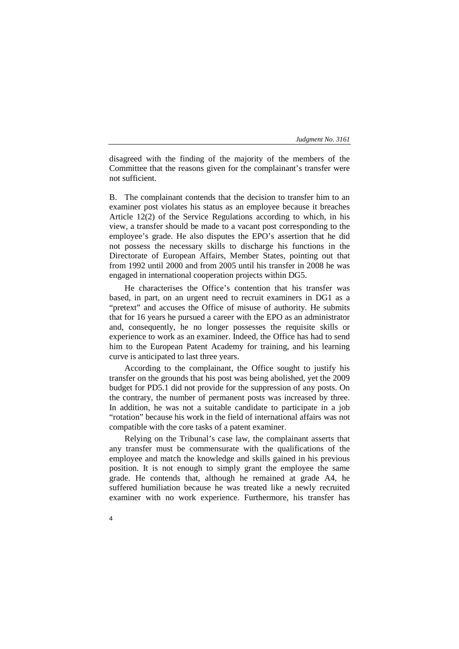disagreed with the finding of the majority of the members of the Committee that the reasons given for the complainant's transfer were not sufficient.

B. The complainant contends that the decision to transfer him to an examiner post violates his status as an employee because it breaches Article 12(2) of the Service Regulations according to which, in his view, a transfer should be made to a vacant post corresponding to the employee's grade. He also disputes the EPO's assertion that he did not possess the necessary skills to discharge his functions in the Directorate of European Affairs, Member States, pointing out that from 1992 until 2000 and from 2005 until his transfer in 2008 he was engaged in international cooperation projects within DG5.

He characterises the Office's contention that his transfer was based, in part, on an urgent need to recruit examiners in DG1 as a "pretext" and accuses the Office of misuse of authority. He submits that for 16 years he pursued a career with the EPO as an administrator and, consequently, he no longer possesses the requisite skills or experience to work as an examiner. Indeed, the Office has had to send him to the European Patent Academy for training, and his learning curve is anticipated to last three years.

According to the complainant, the Office sought to justify his transfer on the grounds that his post was being abolished, yet the 2009 budget for PD5.1 did not provide for the suppression of any posts. On the contrary, the number of permanent posts was increased by three. In addition, he was not a suitable candidate to participate in a job "rotation" because his work in the field of international affairs was not compatible with the core tasks of a patent examiner.

Relying on the Tribunal's case law, the complainant asserts that any transfer must be commensurate with the qualifications of the employee and match the knowledge and skills gained in his previous position. It is not enough to simply grant the employee the same grade. He contends that, although he remained at grade A4, he suffered humiliation because he was treated like a newly recruited examiner with no work experience. Furthermore, his transfer has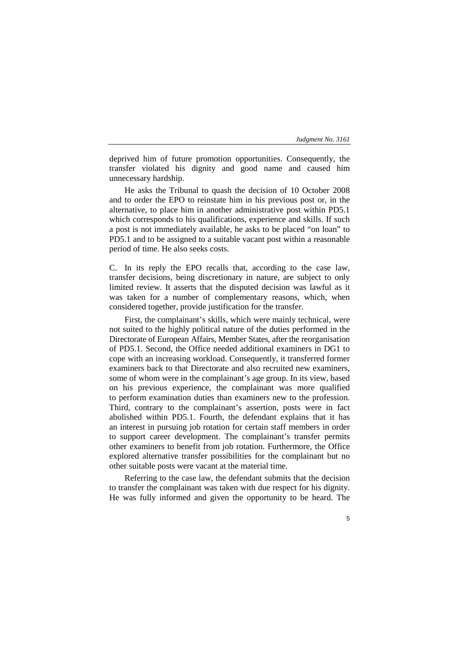deprived him of future promotion opportunities. Consequently, the transfer violated his dignity and good name and caused him unnecessary hardship.

He asks the Tribunal to quash the decision of 10 October 2008 and to order the EPO to reinstate him in his previous post or, in the alternative, to place him in another administrative post within PD5.1 which corresponds to his qualifications, experience and skills. If such a post is not immediately available, he asks to be placed "on loan" to PD5.1 and to be assigned to a suitable vacant post within a reasonable period of time. He also seeks costs.

C. In its reply the EPO recalls that, according to the case law, transfer decisions, being discretionary in nature, are subject to only limited review. It asserts that the disputed decision was lawful as it was taken for a number of complementary reasons, which, when considered together, provide justification for the transfer.

First, the complainant's skills, which were mainly technical, were not suited to the highly political nature of the duties performed in the Directorate of European Affairs, Member States, after the reorganisation of PD5.1. Second, the Office needed additional examiners in DG1 to cope with an increasing workload. Consequently, it transferred former examiners back to that Directorate and also recruited new examiners, some of whom were in the complainant's age group. In its view, based on his previous experience, the complainant was more qualified to perform examination duties than examiners new to the profession. Third, contrary to the complainant's assertion, posts were in fact abolished within PD5.1. Fourth, the defendant explains that it has an interest in pursuing job rotation for certain staff members in order to support career development. The complainant's transfer permits other examiners to benefit from job rotation. Furthermore, the Office explored alternative transfer possibilities for the complainant but no other suitable posts were vacant at the material time.

Referring to the case law, the defendant submits that the decision to transfer the complainant was taken with due respect for his dignity. He was fully informed and given the opportunity to be heard. The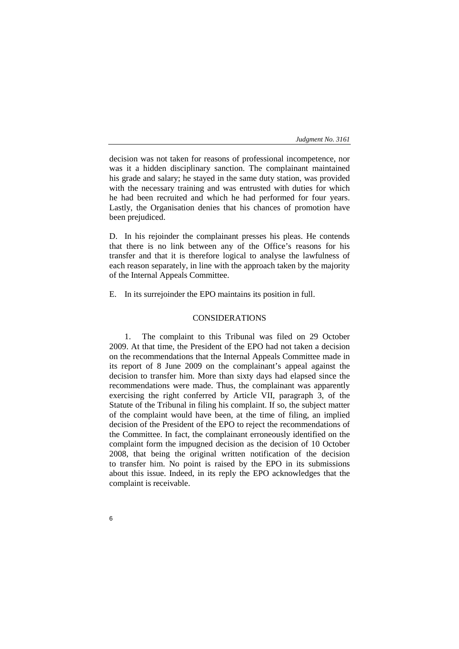decision was not taken for reasons of professional incompetence, nor was it a hidden disciplinary sanction. The complainant maintained his grade and salary; he stayed in the same duty station, was provided with the necessary training and was entrusted with duties for which he had been recruited and which he had performed for four years. Lastly, the Organisation denies that his chances of promotion have been prejudiced.

D. In his rejoinder the complainant presses his pleas. He contends that there is no link between any of the Office's reasons for his transfer and that it is therefore logical to analyse the lawfulness of each reason separately, in line with the approach taken by the majority of the Internal Appeals Committee.

E. In its surrejoinder the EPO maintains its position in full.

# CONSIDERATIONS

1. The complaint to this Tribunal was filed on 29 October 2009. At that time, the President of the EPO had not taken a decision on the recommendations that the Internal Appeals Committee made in its report of 8 June 2009 on the complainant's appeal against the decision to transfer him. More than sixty days had elapsed since the recommendations were made. Thus, the complainant was apparently exercising the right conferred by Article VII, paragraph 3, of the Statute of the Tribunal in filing his complaint. If so, the subject matter of the complaint would have been, at the time of filing, an implied decision of the President of the EPO to reject the recommendations of the Committee. In fact, the complainant erroneously identified on the complaint form the impugned decision as the decision of 10 October 2008, that being the original written notification of the decision to transfer him. No point is raised by the EPO in its submissions about this issue. Indeed, in its reply the EPO acknowledges that the complaint is receivable.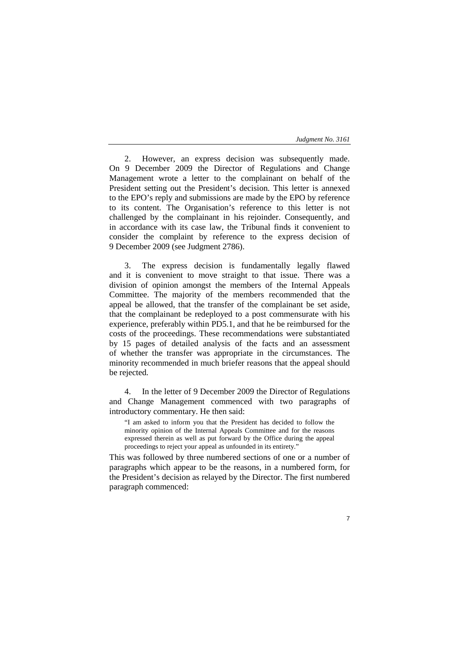2. However, an express decision was subsequently made. On 9 December 2009 the Director of Regulations and Change Management wrote a letter to the complainant on behalf of the President setting out the President's decision. This letter is annexed to the EPO's reply and submissions are made by the EPO by reference to its content. The Organisation's reference to this letter is not challenged by the complainant in his rejoinder. Consequently, and in accordance with its case law, the Tribunal finds it convenient to consider the complaint by reference to the express decision of 9 December 2009 (see Judgment 2786).

3. The express decision is fundamentally legally flawed and it is convenient to move straight to that issue. There was a division of opinion amongst the members of the Internal Appeals Committee. The majority of the members recommended that the appeal be allowed, that the transfer of the complainant be set aside, that the complainant be redeployed to a post commensurate with his experience, preferably within PD5.1, and that he be reimbursed for the costs of the proceedings. These recommendations were substantiated by 15 pages of detailed analysis of the facts and an assessment of whether the transfer was appropriate in the circumstances. The minority recommended in much briefer reasons that the appeal should be rejected.

4. In the letter of 9 December 2009 the Director of Regulations and Change Management commenced with two paragraphs of introductory commentary. He then said:

"I am asked to inform you that the President has decided to follow the minority opinion of the Internal Appeals Committee and for the reasons expressed therein as well as put forward by the Office during the appeal proceedings to reject your appeal as unfounded in its entirety."

This was followed by three numbered sections of one or a number of paragraphs which appear to be the reasons, in a numbered form, for the President's decision as relayed by the Director. The first numbered paragraph commenced: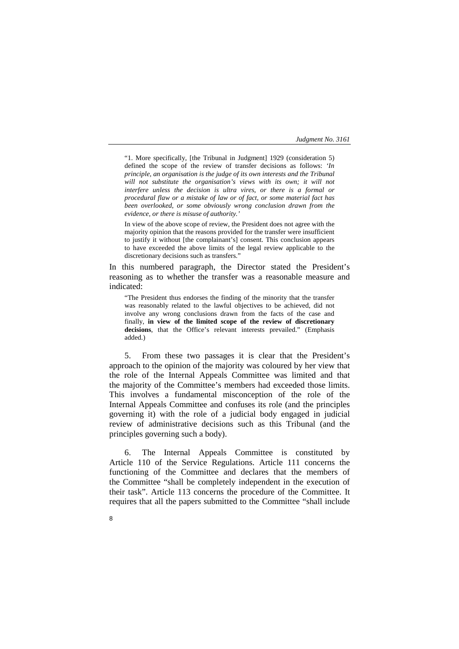"1. More specifically, [the Tribunal in Judgment] 1929 (consideration 5) defined the scope of the review of transfer decisions as follows: *'In principle, an organisation is the judge of its own interests and the Tribunal*  will not substitute the organisation's views with its own; it will not *interfere unless the decision is ultra vires, or there is a formal or procedural flaw or a mistake of law or of fact, or some material fact has been overlooked, or some obviously wrong conclusion drawn from the evidence, or there is misuse of authority.'*

In view of the above scope of review, the President does not agree with the majority opinion that the reasons provided for the transfer were insufficient to justify it without [the complainant's] consent. This conclusion appears to have exceeded the above limits of the legal review applicable to the discretionary decisions such as transfers."

In this numbered paragraph, the Director stated the President's reasoning as to whether the transfer was a reasonable measure and indicated:

"The President thus endorses the finding of the minority that the transfer was reasonably related to the lawful objectives to be achieved, did not involve any wrong conclusions drawn from the facts of the case and finally, **in view of the limited scope of the review of discretionary**  decisions, that the Office's relevant interests prevailed." (Emphasis added.)

5. From these two passages it is clear that the President's approach to the opinion of the majority was coloured by her view that the role of the Internal Appeals Committee was limited and that the majority of the Committee's members had exceeded those limits. This involves a fundamental misconception of the role of the Internal Appeals Committee and confuses its role (and the principles governing it) with the role of a judicial body engaged in judicial review of administrative decisions such as this Tribunal (and the principles governing such a body).

6. The Internal Appeals Committee is constituted by Article 110 of the Service Regulations. Article 111 concerns the functioning of the Committee and declares that the members of the Committee "shall be completely independent in the execution of their task". Article 113 concerns the procedure of the Committee. It requires that all the papers submitted to the Committee "shall include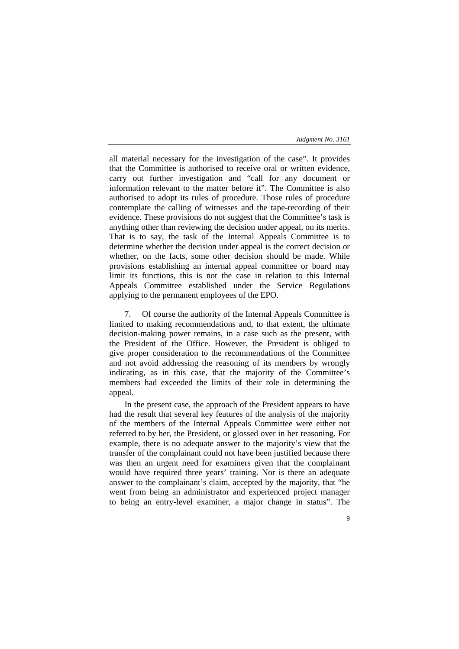all material necessary for the investigation of the case". It provides that the Committee is authorised to receive oral or written evidence, carry out further investigation and "call for any document or information relevant to the matter before it". The Committee is also authorised to adopt its rules of procedure. Those rules of procedure contemplate the calling of witnesses and the tape-recording of their evidence. These provisions do not suggest that the Committee's task is anything other than reviewing the decision under appeal, on its merits. That is to say, the task of the Internal Appeals Committee is to determine whether the decision under appeal is the correct decision or whether, on the facts, some other decision should be made. While provisions establishing an internal appeal committee or board may limit its functions, this is not the case in relation to this Internal Appeals Committee established under the Service Regulations applying to the permanent employees of the EPO.

7. Of course the authority of the Internal Appeals Committee is limited to making recommendations and, to that extent, the ultimate decision-making power remains, in a case such as the present, with the President of the Office. However, the President is obliged to give proper consideration to the recommendations of the Committee and not avoid addressing the reasoning of its members by wrongly indicating, as in this case, that the majority of the Committee's members had exceeded the limits of their role in determining the appeal.

In the present case, the approach of the President appears to have had the result that several key features of the analysis of the majority of the members of the Internal Appeals Committee were either not referred to by her, the President, or glossed over in her reasoning. For example, there is no adequate answer to the majority's view that the transfer of the complainant could not have been justified because there was then an urgent need for examiners given that the complainant would have required three years' training. Nor is there an adequate answer to the complainant's claim, accepted by the majority, that "he went from being an administrator and experienced project manager to being an entry-level examiner, a major change in status". The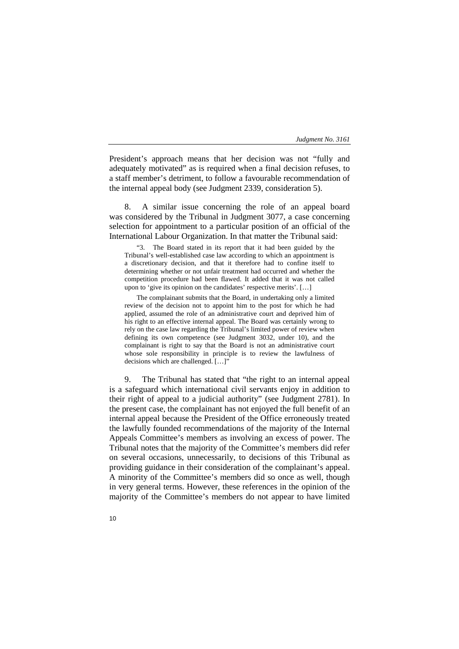President's approach means that her decision was not "fully and adequately motivated" as is required when a final decision refuses, to a staff member's detriment, to follow a favourable recommendation of the internal appeal body (see Judgment 2339, consideration 5).

8. A similar issue concerning the role of an appeal board was considered by the Tribunal in Judgment 3077, a case concerning selection for appointment to a particular position of an official of the International Labour Organization. In that matter the Tribunal said:

"3. The Board stated in its report that it had been guided by the Tribunal's well-established case law according to which an appointment is a discretionary decision, and that it therefore had to confine itself to determining whether or not unfair treatment had occurred and whether the competition procedure had been flawed. It added that it was not called upon to 'give its opinion on the candidates' respective merits'. […]

The complainant submits that the Board, in undertaking only a limited review of the decision not to appoint him to the post for which he had applied, assumed the role of an administrative court and deprived him of his right to an effective internal appeal. The Board was certainly wrong to rely on the case law regarding the Tribunal's limited power of review when defining its own competence (see Judgment 3032, under 10), and the complainant is right to say that the Board is not an administrative court whose sole responsibility in principle is to review the lawfulness of decisions which are challenged. […]"

9. The Tribunal has stated that "the right to an internal appeal is a safeguard which international civil servants enjoy in addition to their right of appeal to a judicial authority" (see Judgment 2781). In the present case, the complainant has not enjoyed the full benefit of an internal appeal because the President of the Office erroneously treated the lawfully founded recommendations of the majority of the Internal Appeals Committee's members as involving an excess of power. The Tribunal notes that the majority of the Committee's members did refer on several occasions, unnecessarily, to decisions of this Tribunal as providing guidance in their consideration of the complainant's appeal. A minority of the Committee's members did so once as well, though in very general terms. However, these references in the opinion of the majority of the Committee's members do not appear to have limited